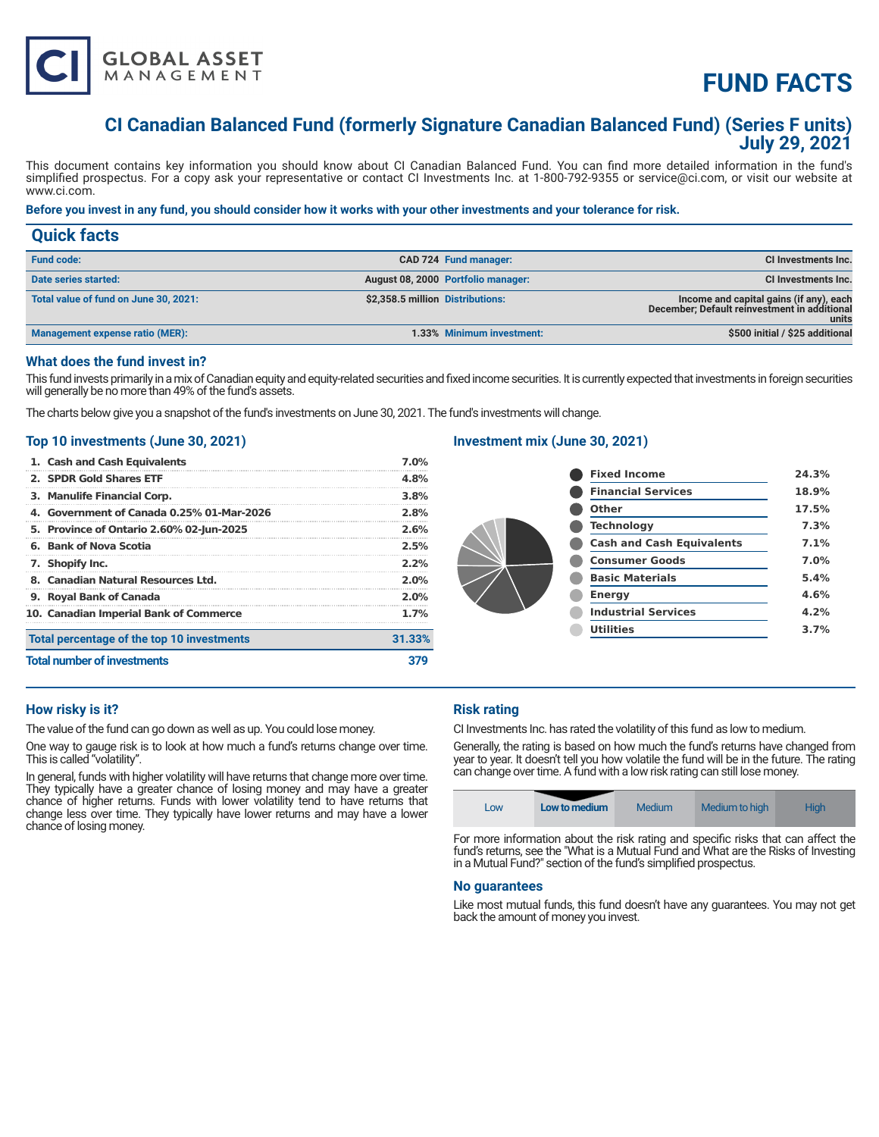

# **FUND FACTS**

# **CI Canadian Balanced Fund (formerly Signature Canadian Balanced Fund) (Series F units) July 29, 2021**

This document contains key information you should know about CI Canadian Balanced Fund. You can find more detailed information in the fund's simplified prospectus. For a copy ask your representative or contact CI Investments Inc. at 1-800-792-9355 or service@ci.com, or visit our website at www.ci.com.

# **Before you invest in any fund, you should consider how it works with your other investments and your tolerance for risk.**

| <b>Quick facts</b>                    |                                  |                                    |                                                                                                  |
|---------------------------------------|----------------------------------|------------------------------------|--------------------------------------------------------------------------------------------------|
| <b>Fund code:</b>                     |                                  | CAD 724 Fund manager:              | CI Investments Inc.                                                                              |
| Date series started:                  |                                  | August 08, 2000 Portfolio manager: | CI Investments Inc.                                                                              |
| Total value of fund on June 30, 2021: | \$2,358.5 million Distributions: |                                    | Income and capital gains (if any), each<br>December; Default reinvestment in additional<br>units |
| Management expense ratio (MER):       |                                  | 1.33% Minimum investment:          | \$500 initial / \$25 additional                                                                  |

#### **What does the fund invest in?**

This fund invests primarily in a mix of Canadian equity and equity-related securities and fixed income securities. It is currently expected that investments in foreign securities will generally be no more than 49% of the fund's assets.

The charts below give you a snapshot of the fund's investments on June 30, 2021. The fund's investments will change.

### **Top 10 investments (June 30, 2021)**

| 1. Cash and Cash Equivalents               | 7.0%   |  |
|--------------------------------------------|--------|--|
| 2. SPDR Gold Shares ETF                    | 4.8%   |  |
| 3. Manulife Financial Corp.                | 3.8%   |  |
| 4. Government of Canada 0.25% 01-Mar-2026  | 2.8%   |  |
| 5. Province of Ontario 2.60% 02-Jun-2025   | 2.6%   |  |
| 6. Bank of Nova Scotia                     | 2.5%   |  |
| 7. Shopify Inc.                            | 2.2%   |  |
| 8. Canadian Natural Resources Ltd.         | 2.0%   |  |
| 9. Royal Bank of Canada                    | 2.0%   |  |
| 10. Canadian Imperial Bank of Commerce     | 1.7%   |  |
| Total percentage of the top 10 investments | 31.33% |  |
| <b>Total number of investments</b>         |        |  |

# **Investment mix (June 30, 2021)**

| <b>Fixed Income</b>              | 24.3% |
|----------------------------------|-------|
| <b>Financial Services</b>        | 18.9% |
| Other                            | 17.5% |
| <b>Technology</b>                | 7.3%  |
| <b>Cash and Cash Equivalents</b> | 7.1%  |
| <b>Consumer Goods</b>            | 7.0%  |
| <b>Basic Materials</b>           | 5.4%  |
| <b>Energy</b>                    | 4.6%  |
| <b>Industrial Services</b>       | 4.2%  |
| <b>Utilities</b>                 | 3.7%  |
|                                  |       |

# **How risky is it?**

The value of the fund can go down as well as up. You could lose money.

One way to gauge risk is to look at how much a fund's returns change over time. This is called "volatility".

In general, funds with higher volatility will have returns that change more over time. They typically have a greater chance of losing money and may have a greater chance of higher returns. Funds with lower volatility tend to have returns that change less over time. They typically have lower returns and may have a lower chance of losing money.

# **Risk rating**

CI Investments Inc. has rated the volatility of this fund as low to medium.

Generally, the rating is based on how much the fund's returns have changed from year to year. It doesn't tell you how volatile the fund will be in the future. The rating can change over time. A fund with a low risk rating can still lose money.



For more information about the risk rating and specific risks that can affect the fund's returns, see the "What is a Mutual Fund and What are the Risks of Investing in a Mutual Fund?" section of the fund's simplified prospectus.

#### **No guarantees**

Like most mutual funds, this fund doesn't have any guarantees. You may not get back the amount of money you invest.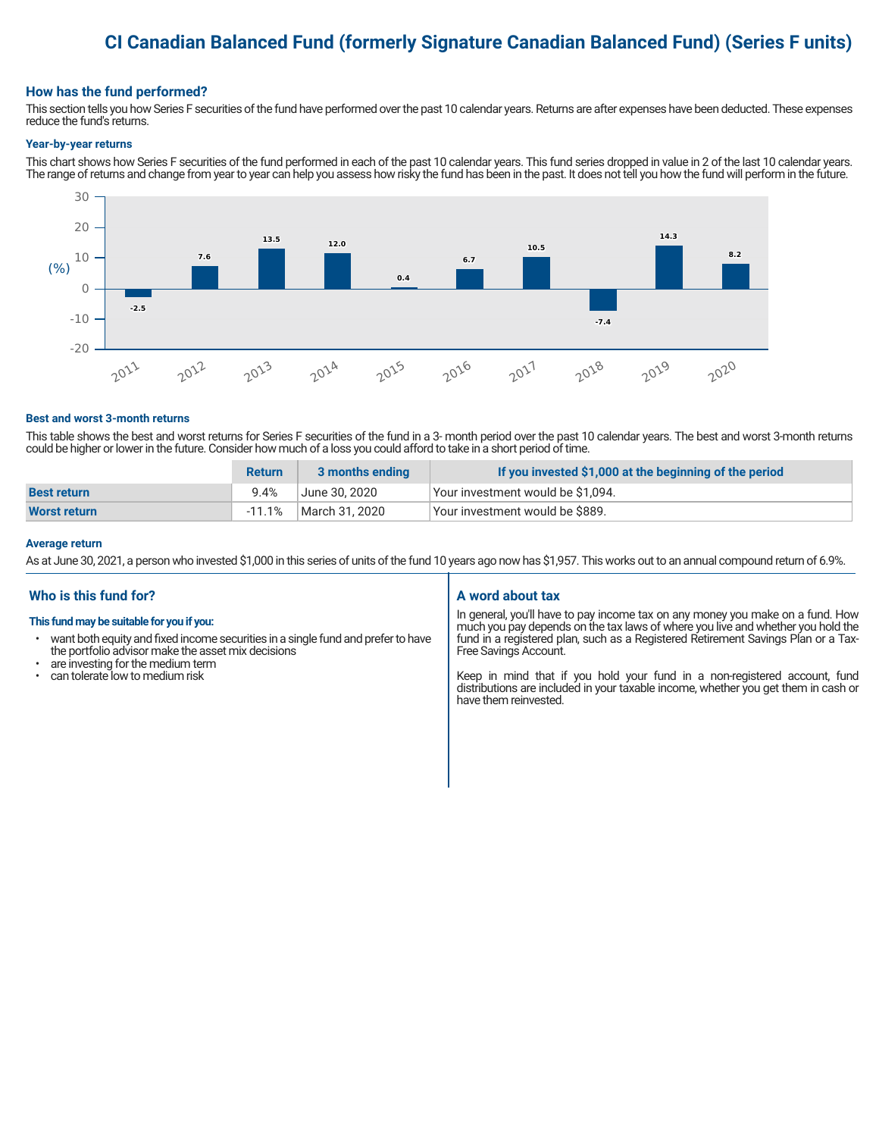# **CI Canadian Balanced Fund (formerly Signature Canadian Balanced Fund) (Series F units)**

### **How has the fund performed?**

This section tells you how Series F securities of the fund have performed over the past 10 calendar years. Returns are after expenses have been deducted. These expenses reduce the fund's returns.

#### **Year-by-year returns**

This chart shows how Series F securities of the fund performed in each of the past 10 calendar years. This fund series dropped in value in 2 of the last 10 calendar years. The range of returns and change from year to year can help you assess how risky the fund has been in the past. It does not tell you how the fund will perform in the future.



#### **Best and worst 3-month returns**

This table shows the best and worst returns for Series F securities of the fund in a 3- month period over the past 10 calendar years. The best and worst 3-month returns could be higher or lower in the future. Consider how much of a loss you could afford to take in a short period of time.

|                     | <b>Return</b> | 3 months ending | If you invested \$1,000 at the beginning of the period |
|---------------------|---------------|-----------------|--------------------------------------------------------|
| <b>Best return</b>  | 9.4%          | June 30. 2020   | Your investment would be \$1,094.                      |
| <b>Worst return</b> | -11.1%        | March 31, 2020  | Your investment would be \$889.                        |

#### **Average return**

As at June 30, 2021, a person who invested \$1,000 in this series of units of the fund 10 years ago now has \$1,957. This works out to an annual compound return of 6.9%.

# **Who is this fund for?**

#### **This fund may be suitable for you if you:**

- want both equity and fixed income securities in a single fund and prefer to have the portfolio advisor make the asset mix decisions
- are investing for the medium term<br>• can tolerate low to medium risk
- can tolerate low to medium risk

#### **A word about tax**

In general, you'll have to pay income tax on any money you make on a fund. How much you pay depends on the tax laws of where you live and whether you hold the fund in a registered plan, such as a Registered Retirement Savings Plan or a Tax-Free Savings Account.

Keep in mind that if you hold your fund in a non-registered account, fund distributions are included in your taxable income, whether you get them in cash or have them reinvested.